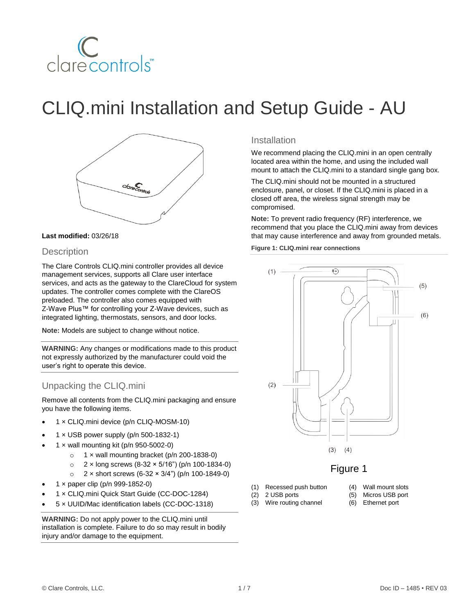

# CLIQ.mini Installation and Setup Guide - AU



## **Last modified:** 03/26/18

# **Description**

The Clare Controls CLIQ.mini controller provides all device management services, supports all Clare user interface services, and acts as the gateway to the ClareCloud for system updates. The controller comes complete with the ClareOS preloaded. The controller also comes equipped with Z-Wave Plus™ for controlling your Z-Wave devices, such as integrated lighting, thermostats, sensors, and door locks.

**Note:** Models are subject to change without notice.

**WARNING:** Any changes or modifications made to this product not expressly authorized by the manufacturer could void the user's right to operate this device.

# Unpacking the CLIQ.mini

Remove all contents from the CLIQ.mini packaging and ensure you have the following items.

- 1 × CLIQ.mini device (p/n CLIQ-MOSM-10)
- 1 × USB power supply (p/n 500-1832-1)
- $1 \times$  wall mounting kit (p/n 950-5002-0)
	- $\circ$  1 x wall mounting bracket (p/n 200-1838-0)
	- $\circ$  2 x long screws (8-32 × 5/16") (p/n 100-1834-0)
	- $\degree$  2 x short screws (6-32 × 3/4") (p/n 100-1849-0)
- 1 × paper clip (p/n 999-1852-0)
- 1 × CLIQ.mini Quick Start Guide (CC-DOC-1284)
- 5 × UUID/Mac identification labels (CC-DOC-1318)

**WARNING:** Do not apply power to the CLIQ.mini until installation is complete. Failure to do so may result in bodily injury and/or damage to the equipment.

# Installation

We recommend placing the CLIQ.mini in an open centrally located area within the home, and using the included wall mount to attach the CLIQ.mini to a standard single gang box.

The CLIQ.mini should not be mounted in a structured enclosure, panel, or closet. If the CLIQ.mini is placed in a closed off area, the wireless signal strength may be compromised.

**Note:** To prevent radio frequency (RF) interference, we recommend that you place the CLIQ.mini away from devices that may cause interference and away from grounded metals.

**Figure 1: CLIQ.mini rear connections**



# Figure 1

- (1) Recessed push button
	- (4) Wall mount slots
	- (2) 2 USB ports (3) Wire routing channel
- (5) Micros USB port (6) Ethernet port
- 

© Clare Controls, LLC. 1 / 7 Doc ID – 1485 • REV 03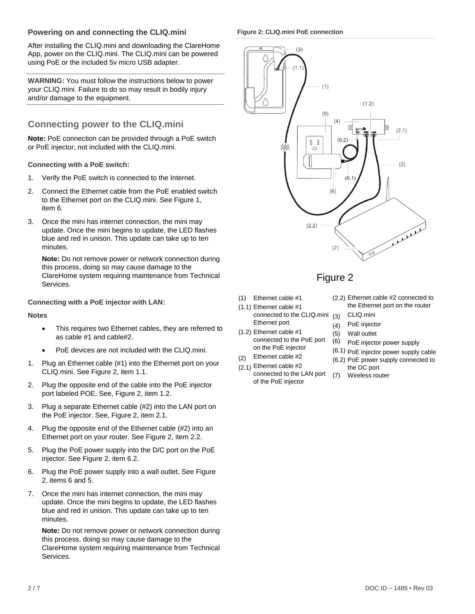# **Powering on and connecting the CLIQ.mini**

After installing the CLIQ.mini and downloading the ClareHome App, power on the CLIQ.mini. The CLIQ.mini can be powered using PoE or the included 5v micro USB adapter.

**WARNING:** You must follow the instructions below to power your CLIQ.mini. Failure to do so may result in bodily injury and/or damage to the equipment.

# **Connecting power to the CLIQ.mini**

**Note:** PoE connection can be provided through a PoE switch or PoE injector, not included with the CLIQ.mini.

# **Connecting with a PoE switch:**

- 1. Verify the PoE switch is connected to the Internet.
- 2. Connect the Ethernet cable from the PoE enabled switch to the Ethernet port on the CLIQ.mini. See Figure 1, item 6.
- 3. Once the mini has internet connection, the mini may update. Once the mini begins to update, the LED flashes blue and red in unison. This update can take up to ten minutes.

**Note:** Do not remove power or network connection during this process, doing so may cause damage to the ClareHome system requiring maintenance from Technical Services.

# **Connecting with a PoE injector with LAN:**

#### **Notes**

- This requires two Ethernet cables, they are referred to as cable #1 and cable#2.
- PoE devices are not included with the CLIQ.mini.
- 1. Plug an Ethernet cable (#1) into the Ethernet port on your CLIQ.mini. See Figure 2, item 1.1.
- 2. Plug the opposite end of the cable into the PoE injector port labeled POE. See, Figure 2, item 1.2.
- 3. Plug a separate Ethernet cable (#2) into the LAN port on the PoE injector. See, Figure 2, item 2.1.
- 4. Plug the opposite end of the Ethernet cable (#2) into an Ethernet port on your router. See Figure 2, item 2.2.
- 5. Plug the PoE power supply into the D/C port on the PoE injector. See Figure 2, item 6.2.
- 6. Plug the PoE power supply into a wall outlet. See Figure 2, items 6 and 5.
- 7. Once the mini has internet connection, the mini may update. Once the mini begins to update, the LED flashes blue and red in unison. This update can take up to ten minutes.

**Note:** Do not remove power or network connection during this process, doing so may cause damage to the ClareHome system requiring maintenance from Technical Services.

**Figure 2: CLIQ.mini PoE connection**



# Figure 2

- (1) Ethernet cable #1
- (1.1) Ethernet cable #1 connected to the CLIQ.mini (3) Ethernet port
- (1.2) Ethernet cable #1 connected to the PoE port on the PoE injector
- $(2)$ Ethernet cable #2
- (2.1) Ethernet cable #2 connected to the LAN port of the PoE injector
- (2.2) Ethernet cable #2 connected to the Ethernet port on the router
	- CLIQ.mini
- (4) PoE injector
- (5) Wall outlet
- (6) PoE injector power supply
- (6.1) PoE injector power supply cable
- (6.2) PoE power supply connected to the DC port
- $(7)$ Wireless router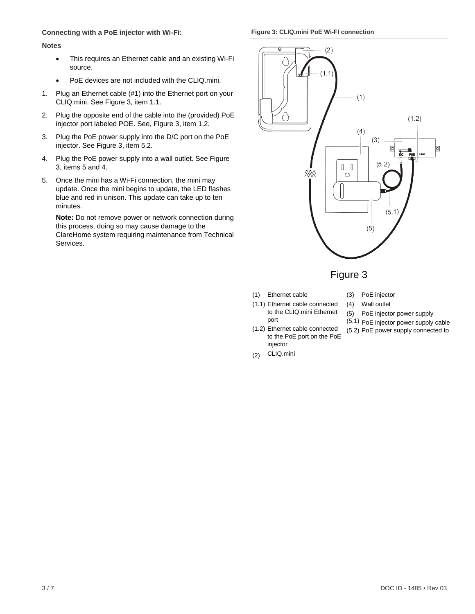## **Connecting with a PoE injector with Wi-Fi:**

#### **Figure 3: CLIQ.mini PoE Wi-FI connection**

#### **Notes**

- This requires an Ethernet cable and an existing Wi-Fi source.
- PoE devices are not included with the CLIQ.mini.
- 1. Plug an Ethernet cable (#1) into the Ethernet port on your CLIQ.mini. See Figure 3, item 1.1.
- 2. Plug the opposite end of the cable into the (provided) PoE injector port labeled POE. See, Figure 3, item 1.2.
- 3. Plug the PoE power supply into the D/C port on the PoE injector. See Figure 3, item 5.2.
- 4. Plug the PoE power supply into a wall outlet. See Figure 3, items 5 and 4.
- 5. Once the mini has a Wi-Fi connection, the mini may update. Once the mini begins to update, the LED flashes blue and red in unison. This update can take up to ten minutes.

**Note:** Do not remove power or network connection during this process, doing so may cause damage to the ClareHome system requiring maintenance from Technical Services.



# Figure 3

- (1) Ethernet cable
- (3) PoE injector (4) Wall outlet

(5.2) PoE power supply connected to

- (1.1) Ethernet cable connected to the CLIQ.mini Ethernet port (5) PoE injector power supply (5.1) PoE injector power supply cable
- (1.2) Ethernet cable connected to the PoE port on the PoE injector
- (2) CLIQ.mini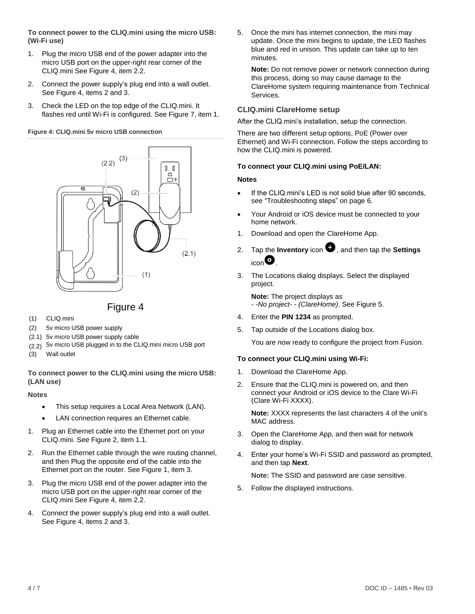**To connect power to the CLIQ.mini using the micro USB: (Wi-Fi use)**

- 1. Plug the micro USB end of the power adapter into the micro USB port on the upper-right rear corner of the CLIQ.mini See Figure 4, item 2.2.
- 2. Connect the power supply's plug end into a wall outlet. See Figure 4, items 2 and 3.
- 3. Check the LED on the top edge of the CLIQ.mini. It flashes red until Wi-Fi is configured. See Figure 7, item 1.

**Figure 4: CLIQ.mini 5v micro USB connection**





- (1) CLIQ.mini
- (2) 5v micro USB power supply
- (2.1) 5v micro USB power supply cable
- (2.2) 5v micro USB plugged in to the CLIQ.mini micro USB port
- (3) Wall outlet

**To connect power to the CLIQ.mini using the micro USB: (LAN use)**

## **Notes**

- This setup requires a Local Area Network (LAN).
- LAN connection requires an Ethernet cable.
- 1. Plug an Ethernet cable into the Ethernet port on your CLIQ.mini. See Figure 2, item 1.1.
- 2. Run the Ethernet cable through the wire routing channel, and then Plug the opposite end of the cable into the Ethernet port on the router. See Figure 1, item 3.
- 3. Plug the micro USB end of the power adapter into the micro USB port on the upper-right rear corner of the CLIQ.mini See Figure 4, item 2.2.
- 4. Connect the power supply's plug end into a wall outlet. See Figure 4, items 2 and 3.

5. Once the mini has internet connection, the mini may update. Once the mini begins to update, the LED flashes blue and red in unison. This update can take up to ten minutes.

**Note:** Do not remove power or network connection during this process, doing so may cause damage to the ClareHome system requiring maintenance from Technical Services.

# **CLIQ.mini ClareHome setup**

After the CLIQ.mini's installation, setup the connection.

There are two different setup options, PoE (Power over Ethernet) and Wi-Fi connection. Follow the steps according to how the CLIQ.mini is powered.

## **To connect your CLIQ.mini using PoE/LAN:**

## **Notes**

- If the CLIQ.mini's LED is not solid blue after 90 seconds, see "Troubleshooting steps" on page 6.
- Your Android or iOS device must be connected to your home network.
- 1. Download and open the ClareHome App.
- 2. Tap the **Inventory** icon  $\bullet$ , and then tap the **Settings**  $_{\sf icon}$  $\bullet$
- 3. The Locations dialog displays. Select the displayed project.

**Note:** The project displays as *- -No project- - (ClareHome)*. See Figure 5.

- 4. Enter the **PIN 1234** as prompted.
- 5. Tap outside of the Locations dialog box.

You are now ready to configure the project from Fusion.

## **To connect your CLIQ.mini using Wi-Fi:**

- 1. Download the ClareHome App.
- 2. Ensure that the CLIQ.mini is powered on, and then connect your Android or iOS device to the Clare Wi-Fi (Clare Wi-Fi XXXX).

**Note:** XXXX represents the last characters 4 of the unit's MAC address.

- 3. Open the ClareHome App, and then wait for network dialog to display.
- 4. Enter your home's Wi-Fi SSID and password as prompted, and then tap **Next**.

**Note:** The SSID and password are case sensitive.

5. Follow the displayed instructions.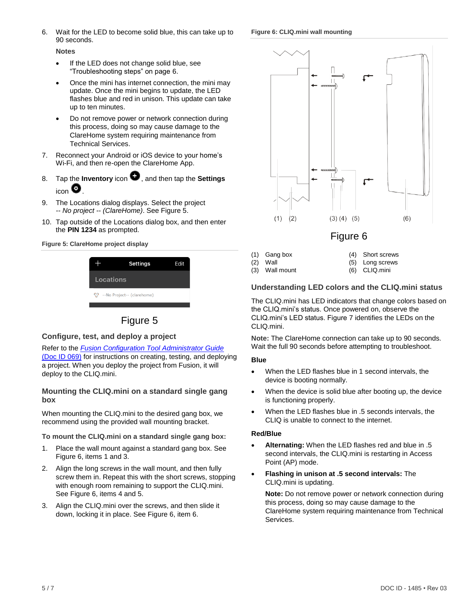6. Wait for the LED to become solid blue, this can take up to 90 seconds.

#### <span id="page-4-0"></span>**Figure 6: CLIQ.mini wall mounting**

**Notes**

- If the LED does not change solid blue, see "Troubleshooting steps" on page 6.
- Once the mini has internet connection, the mini may update. Once the mini begins to update, the LED flashes blue and red in unison. This update can take up to ten minutes.
- Do not remove power or network connection during this process, doing so may cause damage to the ClareHome system requiring maintenance from Technical Services.
- 7. Reconnect your Android or iOS device to your home's Wi-Fi, and then re-open the ClareHome App.
- 8. Tap the **Inventory** icon  $\bullet$ , and then tap the **Settings**  $_{\sf icon}$   $\bullet$
- 9. The Locations dialog displays. Select the project *-- No project -- (ClareHome)*. See Figure 5.
- 10. Tap outside of the Locations dialog box, and then enter the **PIN 1234** as prompted.

#### **Figure 5: ClareHome project display**

|                                                      | <b>Settings</b> | Edit |  |  |
|------------------------------------------------------|-----------------|------|--|--|
| <b>Locations</b>                                     |                 |      |  |  |
| <sup>2</sup> <sup>2</sup> --No Project-- (clarehome) |                 |      |  |  |
|                                                      |                 |      |  |  |

Figure 5

# **Configure, test, and deploy a project**

## Refer to the *[Fusion Configuration Tool Administrator Guide](https://knowledgebaseclarecontrols.atlassian.net/wiki/display/FH/Fusion+Configuration+Tool)*

[\(Doc ID 069\)](https://knowledgebaseclarecontrols.atlassian.net/wiki/display/FH/Fusion+Configuration+Tool) for instructions on creating, testing, and deploying a project. When you deploy the project from Fusion, it will deploy to the CLIQ.mini.

## **Mounting the CLIQ.mini on a standard single gang box**

When mounting the CLIQ.mini to the desired gang box, we recommend using the provided wall mounting bracket.

## **To mount the CLIQ.mini on a standard single gang box:**

- 1. Place the wall mount against a standard gang box. See Figure 6, items 1 and 3.
- 2. Align the long screws in the wall mount, and then fully screw them in. Repeat this with the short screws, stopping with enough room remaining to support the CLIQ.mini. See Figure 6, items 4 and 5.
- 3. Align the CLIQ.mini over the screws, and then slide it down, locking it in place. Se[e Figure](#page-4-0) 6, item 6.



(1) Gang box (2) Wall

(3) Wall mount

(5) Long screws

(4) Short screws

(6) CLIQ.mini

# **Understanding LED colors and the CLIQ.mini status**

The CLIQ.mini has LED indicators that change colors based on the CLIQ.mini's status. Once powered on, observe the CLIQ.mini's LED status. Figure 7 identifies the LEDs on the CLIQ.mini.

**Note:** The ClareHome connection can take up to 90 seconds. Wait the full 90 seconds before attempting to troubleshoot.

#### **Blue**

- When the LED flashes blue in 1 second intervals, the device is booting normally.
- When the device is solid blue after booting up, the device is functioning properly.
- When the LED flashes blue in .5 seconds intervals, the CLIQ is unable to connect to the internet.

## **Red/Blue**

- **Alternating:** When the LED flashes red and blue in .5 second intervals, the CLIQ.mini is restarting in Access Point (AP) mode.
- **Flashing in unison at .5 second intervals:** The CLIQ.mini is updating.

**Note:** Do not remove power or network connection during this process, doing so may cause damage to the ClareHome system requiring maintenance from Technical Services.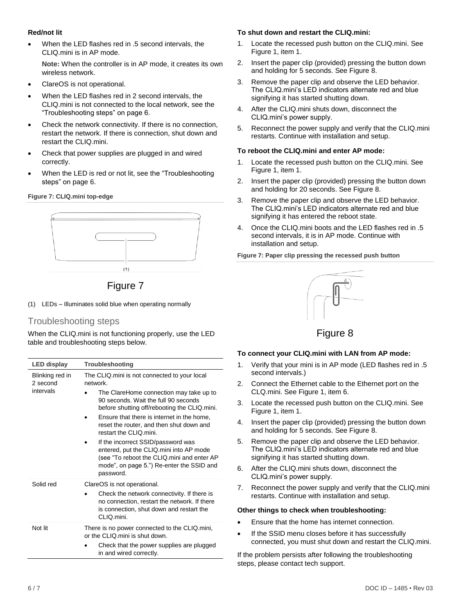# **Red/not lit**

• When the LED flashes red in .5 second intervals, the CLIQ.mini is in AP mode.

**Note:** When the controller is in AP mode, it creates its own wireless network.

- ClareOS is not operational.
- When the LED flashes red in 2 second intervals, the CLIQ.mini is not connected to the local network, see the "Troubleshooting steps" on page 6.
- Check the network connectivity. If there is no connection, restart the network. If there is connection, shut down and restart the CLIQ.mini.
- Check that power supplies are plugged in and wired correctly.
- When the LED is red or not lit, see the "Troubleshooting steps" on page 6.

## **Figure 7: CLIQ.mini top-edge**



Figure 7

(1) LEDs – Illuminates solid blue when operating normally

# Troubleshooting steps

When the CLIQ.mini is not functioning properly, use the LED table and troubleshooting steps below.

| <b>LED display</b>                       | Troubleshooting                                                                                                                                                                                                                                                                                                                                                                                                                                                                                          |  |
|------------------------------------------|----------------------------------------------------------------------------------------------------------------------------------------------------------------------------------------------------------------------------------------------------------------------------------------------------------------------------------------------------------------------------------------------------------------------------------------------------------------------------------------------------------|--|
| Blinking red in<br>2 second<br>intervals | The CLIQ mini is not connected to your local<br>network.<br>The ClareHome connection may take up to<br>90 seconds. Wait the full 90 seconds<br>before shutting off/rebooting the CLIQ.mini.<br>Ensure that there is internet in the home,<br>reset the router, and then shut down and<br>restart the CLIQ mini.<br>If the incorrect SSID/password was<br>entered, put the CLIQ.mini into AP mode<br>(see "To reboot the CLIQ.mini and enter AP<br>mode", on page 5.") Re-enter the SSID and<br>password. |  |
| Solid red                                | ClareOS is not operational.<br>Check the network connectivity. If there is<br>no connection, restart the network. If there<br>is connection, shut down and restart the<br>CLIQ.mini.                                                                                                                                                                                                                                                                                                                     |  |
| Not lit                                  | There is no power connected to the CLIQ.mini,<br>or the CLIQ mini is shut down.<br>Check that the power supplies are plugged<br>in and wired correctly.                                                                                                                                                                                                                                                                                                                                                  |  |

#### **To shut down and restart the CLIQ.mini:**

- 1. Locate the recessed push button on the CLIQ.mini. See Figure 1, item 1.
- 2. Insert the paper clip (provided) pressing the button down and holding for 5 seconds. See Figure 8.
- 3. Remove the paper clip and observe the LED behavior. The CLIQ.mini's LED indicators alternate red and blue signifying it has started shutting down.
- 4. After the CLIQ.mini shuts down, disconnect the CLIQ.mini's power supply.
- 5. Reconnect the power supply and verify that the CLIQ.mini restarts. Continue with installation and setup.

#### **To reboot the CLIQ.mini and enter AP mode:**

- 1. Locate the recessed push button on the CLIQ.mini. See Figure 1, item 1.
- 2. Insert the paper clip (provided) pressing the button down and holding for 20 seconds. See Figure 8.
- 3. Remove the paper clip and observe the LED behavior. The CLIQ.mini's LED indicators alternate red and blue signifying it has entered the reboot state.
- 4. Once the CLIQ.mini boots and the LED flashes red in .5 second intervals, it is in AP mode. Continue with installation and setup.

**Figure 7: Paper clip pressing the recessed push button**



# Figure 8

#### **To connect your CLIQ.mini with LAN from AP mode:**

- 1. Verify that your mini is in AP mode (LED flashes red in .5 second intervals.)
- 2. Connect the Ethernet cable to the Ethernet port on the CLQ.mini. See Figure 1, item 6.
- 3. Locate the recessed push button on the CLIQ.mini. See Figure 1, item 1.
- 4. Insert the paper clip (provided) pressing the button down and holding for 5 seconds. See Figure 8.
- 5. Remove the paper clip and observe the LED behavior. The CLIQ.mini's LED indicators alternate red and blue signifying it has started shutting down.
- 6. After the CLIQ.mini shuts down, disconnect the CLIQ.mini's power supply.
- 7. Reconnect the power supply and verify that the CLIQ.mini restarts. Continue with installation and setup.

#### **Other things to check when troubleshooting:**

- Ensure that the home has internet connection.
- If the SSID menu closes before it has successfully connected, you must shut down and restart the CLIQ.mini.

If the problem persists after following the troubleshooting steps, please contact tech support.